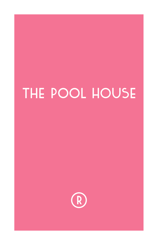# THE POOL HOUSE

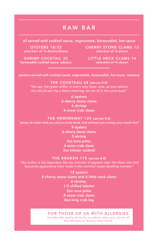## RAW BAR

*all served with cocktail sauce, mignonette, horseradish, hot sauce*

OYSTERS 18/32 selection of ½ dozen/dozen CHERRY STONE CLAMS 12 selection of ½ dozen

SHRIMP COCKTAIL 20 horseradish cocktail sauce, tabasco LITTLE NECK CLAMS 14

*platters served with cocktail sauce, mignonette, horseradish, hot sauce, romesco*

#### THE COUSTEAU 68 (serves 2-4)

"the sea, the great unifier, is man's only hope. now, as ever before,

6 oysters 6 cherry stone clams 4 shrimp 4 snow crab claws

#### THE HEMINGWAY 125 (serves 4-6)

"always do sober what you said you'd do drunk, that will teach you to keep your mouth shut"

9 oysters 6 cherry stone clams 5 shrimp 3oz tuna poke, 6 snow crab claws 3oz lobster cocktail

#### THE KRAKEN 175 (serves 6-8)

"the kraken is the legendary like sea monster of gigantic size, the sheer size and fearsome appearance have made it the common ocean-dwelling monster'

> 12 oysters 6 cherry stone clams and 6 little neck clams 6 shrimp, 1/2 chilled lobster 6oz tuna poke 8 snow crab claws 8oz king crab leg

#### FOR THOSE OF US WITH ALLERGIES

we take this pretty seriously, so please alert your server of any allergies or dietary restrictions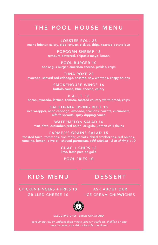## THE POOL HOUSE MENU

LOBSTER ROLL 28 maine lobster, celery, bibb lettuce, pickles, chips, toasted potato bun

> POPCORN SHRIMP 18 tempura battered, chipotle mayo, lemon

POOL BURGER 10 4oz angus burger, american cheese, pickles, chips

TUNA POKÉ 22 avocado, shaved red cabbage, sesame, soy, wontons, crispy onions

> SMOKEHOUSE WINGS 16 buffalo sauce, blue cheese, celery

B.A.L.T. 18 bacon, avocado, lettuce, tomato, toasted country white bread, chips

CALIFORNIA SPRING ROLL 15 rice wrapper, napa cabbage, avocado, scallions, carrots, cucumbers, alfalfa sprouts, spicy dipping sauce

WATERMELON SALAD 16 mint, feta, cucumber, red onion, arugula, korean chili flakes

FARMER'S GRAINS SALAD 15 toasted farro, tomatoes, cucumber, carrots, dried cranberries, red onions, romaine, lemon, olive oil, shaved parmesan, *add chicken +8 or shrimp +10*

> GUAC + CHIPS 12 lime, fresh pico de gallo

POOL FRIES 10

## KIDS MENU

#### CHICKEN FINGERS + FRIES 10 GRILLED CHEESE 10

## **DESSERT**

ASK ABOUT OUR ICE CREAM CHIPWICHES



#### EXECUTIVE CHEF: BRIAN CRAWFORD

consuming raw or undercooked meats, poultry, seafood, shellfish or egg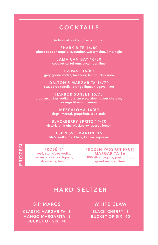## COCKTAILS

individual cocktail / large format

SHARK BITE 16/80 ghost pepper tequila, cucumber, watermelon, lime, tajin

> JAMAICAN BAY 16/80 coconut cartel rum, cucumber, lime

EZ-PASS 16/80 grey goose vodka, lavender, lemon, club soda

DALTON'S MARGARITA 14/70 cazadores tequila, orange liqueur, agave, lime

HARBOR SUNSET 15/75 crop cucumber vodka, dry curaçao, aloe liqueur chareau, orange blossom, lemon

> MEZCALOMA 16/80 ilegal mezcal, grapefruit, club soda

BLACKBERRY SPRITZ 14/70 victoria pink gin, blackberry, aperol, lemon

ESPRESSO MARTINI 16 tito's vodka, mr. black, kahlua, espresso

FROSÉ 14 rosé, stoli citros vodka, rockey's botanical liqueur, strawberry, lemon

FROZEN FROZEN

FROZEN PASSION FRUIT MARGARITA 16 1800 silver tequila, passion fruit, grand marnier, lime

### HARD SELTZER

#### SIP MARGS

CLASSIC MARGARITA 8 MANGO MARGARITA 8 BUCKET OF SIX 40

#### WHITE CLAW

BLACK CHERRY 8 BUCKET OF SIX 40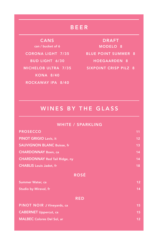## BEER

KONA 8/40 ROCKAWAY IPA 8/40 can / bucket of 6

CORONA LIGHT 7/35 BLUE POINT SUMMER 8 BUD LIGHT 6/30 HOEGAARDEN 8 MICHELOB ULTRA 7/35 SIXPOINT CRISP PILZ 8 MODELO 8 CANS DRAFT

## WINES BY THE GLASS

#### WHITE / SPARKLING

| <b>PROSECCO</b>                      | 11              |
|--------------------------------------|-----------------|
| <b>PINOT GRIGIO Lavis, it</b>        | 12 <sub>2</sub> |
| <b>SAUVIGNON BLANC Buisse, fr</b>    | 13              |
| <b>CHARDONNAY Boen, ca</b>           | 14              |
| <b>CHARDONNAY Red Tail Ridge, ny</b> | 14              |
| <b>CHABLIS</b> Louis Jadot, fr       | 18              |
| <b>ROSÉ</b>                          |                 |
| <b>Summer Water, ca</b>              | 12 <sub>2</sub> |
| Studio by Miraval, fr                | 14              |
| <b>RED</b>                           |                 |
| PINOT NOIR J Vineyards, ca           | 15              |
| <b>CABERNET Uppercut, ca</b>         | 15              |
| <b>MALBEC Colores Del Sol, ar</b>    | 12 <sub>2</sub> |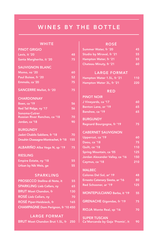## WINES BY THE BOTTLE

#### **WHITE**

| <b>PINOT GRIGIO</b>                  |     |
|--------------------------------------|-----|
| Lavis, it '20                        | 48  |
| Santa Margherita, it '20             | 75  |
| <b>SAUVIGNON BLANC</b>               |     |
| Momo, nz '20                         | 60  |
| Paul Buisse, fr '20                  | 52  |
| Emmolo, ca '20                       | 75  |
|                                      |     |
| <b>SANCERRE Mellot, fr '20</b>       | 75  |
| <b>CHARDONNAY</b>                    |     |
| Boen, ca '19                         | 56  |
| Red Tail Ridge, ny '17               | 56  |
| Sonoma-Cutrer                        |     |
| Russian River Ranches, ca '18        | 70  |
| Jordan, ca '18                       | 90  |
| <b>BURGUNDY</b>                      |     |
| Jadot Chablis Sabliere, fr '18       | 70  |
| Drouhin Chassagne-Montrachet, fr '18 | 155 |
| ALBARIÑO Alba Vega N, sp '19         | 75  |
| <b>RIESLING</b>                      |     |
| <b>Empire Estate, ny '18</b>         | 55  |
| Urban by Nik Weis, ge                | 55  |
| <b>SPARKLING</b>                     |     |
| PROSECCO Stellina di Note, it        | 55  |
| <b>SPARKLING Lieb Cellars, ny</b>    | 65  |
| <b>BRUT Moet Chandon, fr</b>         | 130 |
| ROSÉ Lieb Cellars, ny                | 70  |
| <b>ROSE Piper-Heidsieck, fr</b>      | 165 |
|                                      |     |
| CHAMPAGNE Dom Perignon, fr '10 450   |     |
| <b>LARGE FORMAT</b>                  |     |

BRUT Moet Chandon Brut 1.5L, fr 250

#### ROSÉ

| Summer Water, fr '20          | 45. |
|-------------------------------|-----|
| Studio by Miraval, fr '21     | 55. |
| Hampton Water, fr '21         | 55. |
| <b>Chateau Minuty, fr '21</b> | -60 |

#### LARGE FORMAT

| Hampton Water 1.5L, fr '21 |  | 110 |
|----------------------------|--|-----|
| Hampton Water 3L, fr '21   |  | 220 |

RED

| <b>PINOT NOIR</b>                                       |                  |
|---------------------------------------------------------|------------------|
| J Vineyards, ca '17                                     | 60               |
| Benton Lane, or '19                                     | 65               |
| Banshee, ca '19                                         | 65               |
| <b>BURGUNDY</b>                                         |                  |
| Regnard Bourgogne, fr '19                               | 75               |
| <b>CABERNET SAUVIGNON</b>                               |                  |
| Uppercut, ca '19                                        | 60               |
| Daou, ca '18                                            | 75               |
| Quilt, ca '18                                           | 110              |
| Spring Mountain, ca '05                                 | $\overline{125}$ |
| Jordan Alexander Valley, ca '16                         | 150              |
| Caymus, ca '18                                          | 210              |
| <b>MALBEC</b>                                           |                  |
| Colores Del Sol, ar' 19                                 | 48               |
| Ernesto Catenary Siesta, ar '16                         | 80               |
| Red Schooner, ar '19                                    | 125              |
| <b>MONTEPULCIANO Barba, it '19</b>                      | 55               |
| <b>GRENACHE Gigondas, fr '19</b>                        | 75               |
| RIOJA Monte Real, sp '16                                | 70               |
| <b>SUPER TUSCAN</b><br>Ca'Marcanda by Gaja 'Promis', it | 90               |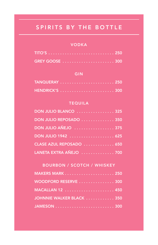## SPIRITS BY THE BOTTLE

#### VODKA

#### GIN

#### TEQUILA

| DON JULIO BLANCO  325    |  |
|--------------------------|--|
| DON JULIO REPOSADO  350  |  |
|                          |  |
|                          |  |
| CLASE AZUL REPOSADO  650 |  |
| LANETA EXTRA AÑEJO  700  |  |

BOURBON / SCOTCH / WHISKEY

| WOODFORD RESERVE  300     |  |
|---------------------------|--|
|                           |  |
| JOHNNIE WALKER BLACK  350 |  |
|                           |  |